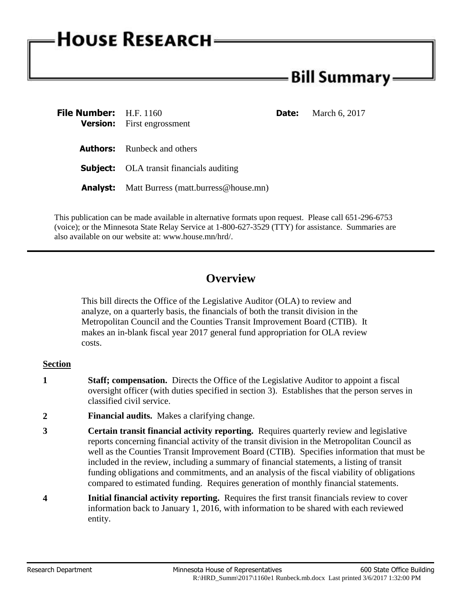# **HOUSE RESEARCH**

# Bill Summary -

| <b>File Number:</b> H.F. 1160 |                                                      | <b>Date:</b> | March 6, 2017 |
|-------------------------------|------------------------------------------------------|--------------|---------------|
|                               | <b>Version:</b> First engrossment                    |              |               |
|                               |                                                      |              |               |
|                               | <b>Authors:</b> Runbeck and others                   |              |               |
|                               | <b>Subject:</b> OLA transit financials auditing      |              |               |
|                               | <b>Analyst:</b> Matt Burress (matt.burress@house.mn) |              |               |

This publication can be made available in alternative formats upon request. Please call 651-296-6753 (voice); or the Minnesota State Relay Service at 1-800-627-3529 (TTY) for assistance. Summaries are also available on our website at: www.house.mn/hrd/.

## **Overview**

This bill directs the Office of the Legislative Auditor (OLA) to review and analyze, on a quarterly basis, the financials of both the transit division in the Metropolitan Council and the Counties Transit Improvement Board (CTIB). It makes an in-blank fiscal year 2017 general fund appropriation for OLA review costs.

### **Section**

- **1 Staff; compensation.** Directs the Office of the Legislative Auditor to appoint a fiscal oversight officer (with duties specified in section 3). Establishes that the person serves in classified civil service.
- **2 Financial audits.** Makes a clarifying change.
- **3 Certain transit financial activity reporting.** Requires quarterly review and legislative reports concerning financial activity of the transit division in the Metropolitan Council as well as the Counties Transit Improvement Board (CTIB). Specifies information that must be included in the review, including a summary of financial statements, a listing of transit funding obligations and commitments, and an analysis of the fiscal viability of obligations compared to estimated funding. Requires generation of monthly financial statements.
- **4 Initial financial activity reporting.** Requires the first transit financials review to cover information back to January 1, 2016, with information to be shared with each reviewed entity.